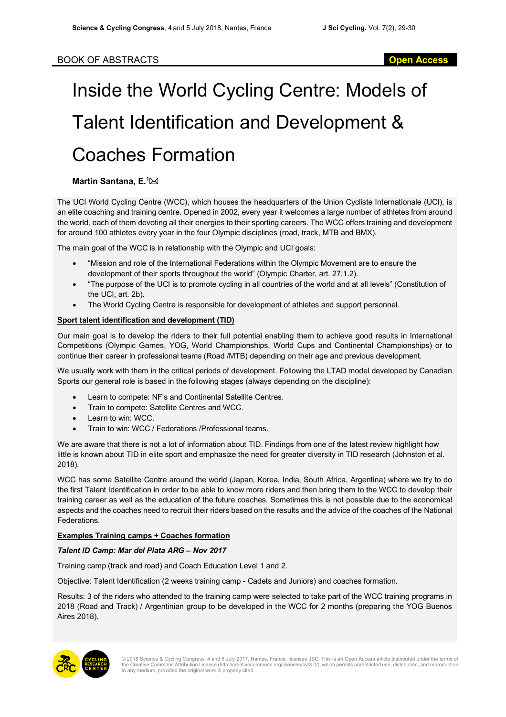# Inside the World Cycling Centre: Models of Talent Identification and Development & Coaches Formation

## **Martín Santana, E.<sup>1</sup>⊠**

The UCI World Cycling Centre (WCC), which houses the headquarters of the Union Cycliste Internationale (UCI), is an elite coaching and training centre. Opened in 2002, every year it welcomes a large number of athletes from around the world, each of them devoting all their energies to their sporting careers. The WCC offers training and development for around 100 athletes every year in the four Olympic disciplines (road, track, MTB and BMX).

The main goal of the WCC is in relationship with the Olympic and UCI goals:

- "Mission and role of the International Federations within the Olympic Movement are to ensure the development of their sports throughout the world" (Olympic Charter, art. 27.1.2).
- "The purpose of the UCI is to promote cycling in all countries of the world and at all levels" (Constitution of the UCI, art. 2b).
- The World Cycling Centre is responsible for development of athletes and support personnel.

### **Sport talent identification and development (TID)**

Our main goal is to develop the riders to their full potential enabling them to achieve good results in International Competitions (Olympic Games, YOG, World Championships, World Cups and Continental Championships) or to continue their career in professional teams (Road /MTB) depending on their age and previous development.

We usually work with them in the critical periods of development. Following the LTAD model developed by Canadian Sports our general role is based in the following stages (always depending on the discipline):

- Learn to compete: NF's and Continental Satellite Centres.
- Train to compete: Satellite Centres and WCC.
- Learn to win: WCC.
- Train to win: WCC / Federations /Professional teams.

We are aware that there is not a lot of information about TID. Findings from one of the latest review highlight how little is known about TID in elite sport and emphasize the need for greater diversity in TID research (Johnston et al. 2018).

WCC has some Satellite Centre around the world (Japan, Korea, India, South Africa, Argentina) where we try to do the first Talent Identification in order to be able to know more riders and then bring them to the WCC to develop their training career as well as the education of the future coaches. Sometimes this is not possible due to the economical aspects and the coaches need to recruit their riders based on the results and the advice of the coaches of the National Federations.

### **Examples Training camps + Coaches formation**

### *Talent ID Camp: Mar del Plata ARG – Nov 2017*

Training camp (track and road) and Coach Education Level 1 and 2.

Objective: Talent Identification (2 weeks training camp - Cadets and Juniors) and coaches formation.

Results: 3 of the riders who attended to the training camp were selected to take part of the WCC training programs in 2018 (Road and Track) / Argentinian group to be developed in the WCC for 2 months (preparing the YOG Buenos Aires 2018).